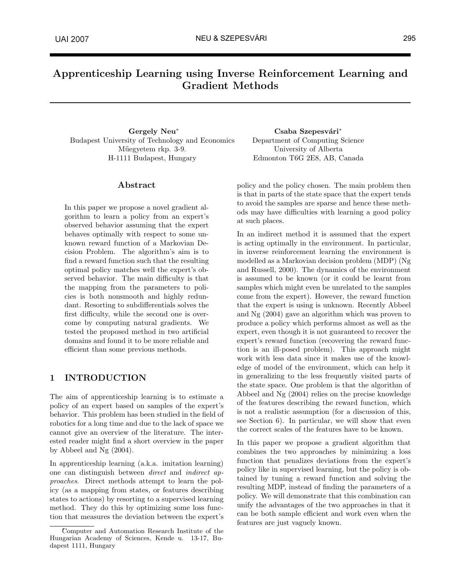# Apprenticeship Learning using Inverse Reinforcement Learning and Gradient Methods

Gergely Neu<sup>∗</sup> Budapest University of Technology and Economics Műegyetem rkp. 3-9. H-1111 Budapest, Hungary

#### Abstract

In this paper we propose a novel gradient algorithm to learn a policy from an expert's observed behavior assuming that the expert behaves optimally with respect to some unknown reward function of a Markovian Decision Problem. The algorithm's aim is to find a reward function such that the resulting optimal policy matches well the expert's observed behavior. The main difficulty is that the mapping from the parameters to policies is both nonsmooth and highly redundant. Resorting to subdifferentials solves the first difficulty, while the second one is overcome by computing natural gradients. We tested the proposed method in two artificial domains and found it to be more reliable and efficient than some previous methods.

# 1 INTRODUCTION

The aim of apprenticeship learning is to estimate a policy of an expert based on samples of the expert's behavior. This problem has been studied in the field of robotics for a long time and due to the lack of space we cannot give an overview of the literature. The interested reader might find a short overview in the paper by Abbeel and Ng (2004).

In apprenticeship learning (a.k.a. imitation learning) one can distinguish between direct and indirect approaches. Direct methods attempt to learn the policy (as a mapping from states, or features describing states to actions) by resorting to a supervised learning method. They do this by optimizing some loss function that measures the deviation between the expert's

Csaba Szepesvári<sup>\*</sup> Department of Computing Science University of Alberta Edmonton T6G 2E8, AB, Canada

policy and the policy chosen. The main problem then is that in parts of the state space that the expert tends to avoid the samples are sparse and hence these methods may have difficulties with learning a good policy at such places.

In an indirect method it is assumed that the expert is acting optimally in the environment. In particular, in inverse reinforcement learning the environment is modelled as a Markovian decision problem (MDP) (Ng and Russell, 2000). The dynamics of the environment is assumed to be known (or it could be learnt from samples which might even be unrelated to the samples come from the expert). However, the reward function that the expert is using is unknown. Recently Abbeel and Ng (2004) gave an algorithm which was proven to produce a policy which performs almost as well as the expert, even though it is not guaranteed to recover the expert's reward function (recovering the reward function is an ill-posed problem). This approach might work with less data since it makes use of the knowledge of model of the environment, which can help it in generalizing to the less frequently visited parts of the state space. One problem is that the algorithm of Abbeel and Ng (2004) relies on the precise knowledge of the features describing the reward function, which is not a realistic assumption (for a discussion of this, see Section 6). In particular, we will show that even the correct scales of the features have to be known.

In this paper we propose a gradient algorithm that combines the two approaches by minimizing a loss function that penalizes deviations from the expert's policy like in supervised learning, but the policy is obtained by tuning a reward function and solving the resulting MDP, instead of finding the parameters of a policy. We will demonstrate that this combination can unify the advantages of the two approaches in that it can be both sample efficient and work even when the features are just vaguely known.

<sup>∗</sup>Computer and Automation Research Institute of the Hungarian Academy of Sciences, Kende u. 13-17, Budapest 1111, Hungary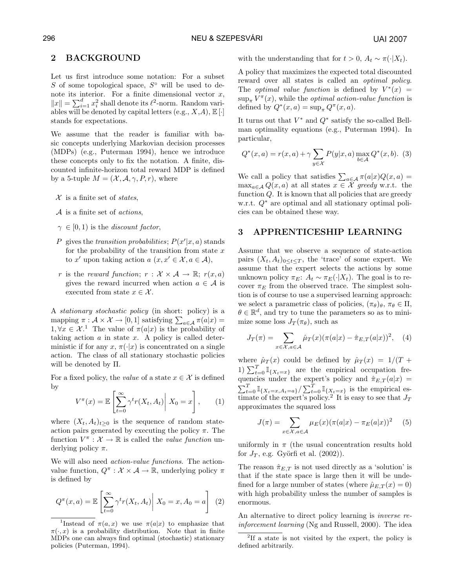## 296 NEU & SZEPESVÁRI

# 2 BACKGROUND

Let us first introduce some notation: For a subset S of some topological space,  $S^{\circ}$  will be used to denote its interior. For a finite dimensional vector  $x$ , hote its interior. For a linite dimensional vector x,<br> $||x|| = \sum_{i=1}^{d} x_i^2$  shall denote its  $\ell^2$ -norm. Random variables will be denoted by capital letters (e.g.,  $X,A$ ),  $E[\cdot]$ stands for expectations.

We assume that the reader is familiar with basic concepts underlying Markovian decision processes (MDPs) (e.g., Puterman 1994), hence we introduce these concepts only to fix the notation. A finite, discounted infinite-horizon total reward MDP is defined by a 5-tuple  $M = (\mathcal{X}, \mathcal{A}, \gamma, P, r)$ , where

- $\mathcal{X}$  is a finite set of *states*,
- $A$  is a finite set of *actions*,
- $\gamma \in [0, 1)$  is the *discount factor*,
- P gives the transition probabilities;  $P(x'|x, a)$  stands for the probability of the transition from state  $x$ to x' upon taking action  $a(x, x' \in \mathcal{X}, a \in \mathcal{A})$ ,
- r is the reward function;  $r : \mathcal{X} \times \mathcal{A} \rightarrow \mathbb{R}$ ;  $r(x, a)$ gives the reward incurred when action  $a \in \mathcal{A}$  is executed from state  $x \in \mathcal{X}$ .

A stationary stochastic policy (in short: policy) is a A stationary stochastic policy (in short: policy) is a<br>mapping  $\pi: \mathcal{A} \times \mathcal{X} \to [0, 1]$  satisfying  $\sum_{a \in \mathcal{A}} \pi(a|x) =$  $1, \forall x \in \mathcal{X}$ <sup>1</sup>. The value of  $\pi(a|x)$  is the probability of taking action  $a$  in state  $x$ . A policy is called deterministic if for any  $x, \pi(\cdot|x)$  is concentrated on a single action. The class of all stationary stochastic policies will be denoted by Π.

For a fixed policy, the value of a state  $x \in \mathcal{X}$  is defined by #

$$
V^{\pi}(x) = \mathbb{E}\left[\sum_{t=0}^{\infty} \gamma^t r(X_t, A_t) \middle| X_0 = x\right], \qquad (1)
$$

where  $(X_t, A_t)_{t\geq 0}$  is the sequence of random stateaction pairs generated by executing the policy  $\pi$ . The function  $V^{\pi}: \mathcal{X} \to \mathbb{R}$  is called the *value function* underlying policy  $\pi$ .

We will also need action-value functions. The actionvalue function,  $Q^{\pi}$ :  $\mathcal{X} \times \mathcal{A} \rightarrow \mathbb{R}$ , underlying policy  $\pi$ is defined by

$$
Q^{\pi}(x, a) = \mathbb{E}\left[\sum_{t=0}^{\infty} \gamma^t r(X_t, A_t) \middle| X_0 = x, A_0 = a\right] \tag{2}
$$

with the understanding that for  $t > 0$ ,  $A_t \sim \pi(\cdot | X_t)$ .

A policy that maximizes the expected total discounted reward over all states is called an *optimal policy*. The *optimal value function* is defined by  $V^*(x) =$  $\sup_{\pi} V^{\pi}(x)$ , while the *optimal action-value function* is defined by  $Q^*(x, a) = \sup_{\pi} Q^{\pi}(x, a)$ .

It turns out that  $V^*$  and  $Q^*$  satisfy the so-called Bellman optimality equations (e.g., Puterman 1994). In particular,

$$
Q^*(x, a) = r(x, a) + \gamma \sum_{y \in \mathcal{X}} P(y|x, a) \max_{b \in \mathcal{A}} Q^*(x, b). \tag{3}
$$

We call a policy that satisfies  $\sum_{a \in A} \pi(a|x) Q(x, a) =$  $\max_{a \in \mathcal{A}} Q(x, a)$  at all states  $x \in \mathcal{X}$  greedy w.r.t. the function  $Q$ . It is known that all policies that are greedy w.r.t. Q<sup>∗</sup> are optimal and all stationary optimal policies can be obtained these way.

# 3 APPRENTICESHIP LEARNING

Assume that we observe a sequence of state-action pairs  $(X_t, A_t)_{0 \leq t \leq T}$ , the 'trace' of some expert. We assume that the expert selects the actions by some unknown policy  $\pi_E: A_t \sim \pi_E(\cdot | X_t)$ . The goal is to recover  $\pi_E$  from the observed trace. The simplest solution is of course to use a supervised learning approach: we select a parametric class of policies,  $(\pi_{\theta})_{\theta}$ ,  $\pi_{\theta} \in \Pi$ ,  $\theta \in \mathbb{R}^d$ , and try to tune the parameters so as to minimize some loss  $J_T(\pi_\theta)$ , such as

$$
J_T(\pi) = \sum_{x \in \mathcal{X}, a \in \mathcal{A}} \hat{\mu}_T(x) (\pi(a|x) - \hat{\pi}_{E,T}(a|x))^2, \quad (4)
$$

where  $\hat{\mu}_T(x)$  could be defined by  $\hat{\mu}_T(x) = 1/(T + 1) \sum_{t=0}^T \mathbb{I}_{\{X_t=x\}}$  are the empirical occupation frequencies under the expert's policy and  $\hat{\pi}_{E,T}(a|x) =$  $\sum_{t=0}^{T} \mathbb{I}_{\{X_t=x, A_t=a\}} / \sum_{t=0}^{T} \mathbb{I}_{\{X_t=x\}}$  is the empirical estimate of the expert's policy.<sup>2</sup> It is easy to see that  $J_T$ approximates the squared loss

$$
J(\pi) = \sum_{x \in \mathcal{X}, a \in \mathcal{A}} \mu_E(x) (\pi(a|x) - \pi_E(a|x))^2
$$
 (5)

uniformly in  $\pi$  (the usual concentration results hold for  $J_T$ , e.g. Györfi et al. (2002)).

The reason  $\hat{\pi}_{E,T}$  is not used directly as a 'solution' is that if the state space is large then it will be undefined for a large number of states (where  $\hat{\mu}_{E,T}(x) = 0$ ) with high probability unless the number of samples is enormous.

An alternative to direct policy learning is inverse reinforcement learning (Ng and Russell, 2000). The idea

<sup>&</sup>lt;sup>1</sup>Instead of  $\pi(a,x)$  we use  $\pi(a|x)$  to emphasize that  $\pi(\cdot, x)$  is a probability distribution. Note that in finite MDPs one can always find optimal (stochastic) stationary policies (Puterman, 1994).

<sup>2</sup> If a state is not visited by the expert, the policy is defined arbitrarily.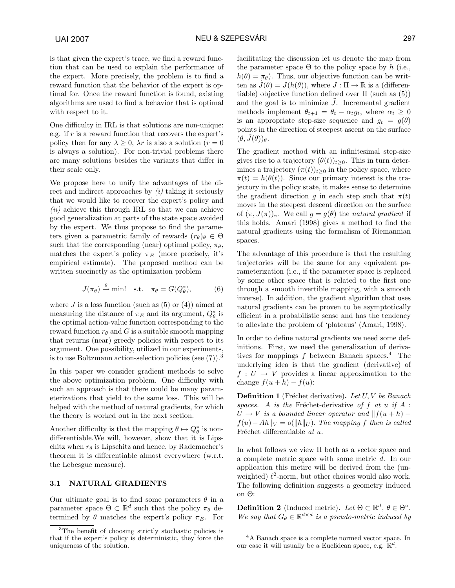is that given the expert's trace, we find a reward function that can be used to explain the performance of the expert. More precisely, the problem is to find a reward function that the behavior of the expert is optimal for. Once the reward function is found, existing algorithms are used to find a behavior that is optimal with respect to it.

One difficulty in IRL is that solutions are non-unique: e.g. if  $r$  is a reward function that recovers the expert's policy then for any  $\lambda \geq 0$ ,  $\lambda r$  is also a solution  $(r = 0)$ is always a solution). For non-trivial problems there are many solutions besides the variants that differ in their scale only.

We propose here to unify the advantages of the direct and indirect approaches by  $(i)$  taking it seriously that we would like to recover the expert's policy and  $(ii)$  achieve this through IRL so that we can achieve good generalization at parts of the state space avoided by the expert. We thus propose to find the parameters given a parametric family of rewards  $(r_{\theta})_{\theta} \in \Theta$ such that the corresponding (near) optimal policy,  $\pi_{\theta}$ , matches the expert's policy  $\pi_E$  (more precisely, it's empirical estimate). The proposed method can be written succinctly as the optimization problem

$$
J(\pi_{\theta}) \xrightarrow{\theta} \text{min!} \quad \text{s.t.} \quad \pi_{\theta} = G(Q_{\theta}^*),
$$
 (6)

where  $J$  is a loss function (such as  $(5)$  or  $(4)$ ) aimed at measuring the distance of  $\pi_E$  and its argument,  $Q_{\theta}^*$  is the optimal action-value function corresponding to the reward function  $r_{\theta}$  and G is a suitable smooth mapping that returns (near) greedy policies with respect to its argument. One possibility, utilized in our experiments, is to use Boltzmann action-selection policies (see  $(7)$ ).<sup>3</sup>

In this paper we consider gradient methods to solve the above optimization problem. One difficulty with such an approach is that there could be many parameterizations that yield to the same loss. This will be helped with the method of natural gradients, for which the theory is worked out in the next section.

Another difficulty is that the mapping  $\theta \mapsto Q_{\theta}^*$  is nondifferentiable.We will, however, show that it is Lipschitz when  $r_{\theta}$  is Lipschitz and hence, by Rademacher's theorem it is differentiable almost everywhere (w.r.t. the Lebesgue measure).

#### 3.1 NATURAL GRADIENTS

Our ultimate goal is to find some parameters  $\theta$  in a parameter space  $\Theta \subset \mathbb{R}^d$  such that the policy  $\pi_\theta$  determined by  $\theta$  matches the expert's policy  $\pi_E$ . For facilitating the discussion let us denote the map from the parameter space  $\Theta$  to the policy space by h (i.e.,  $h(\theta) = \pi_{\theta}$ . Thus, our objective function can be written as  $\tilde{J}(\theta) = J(h(\theta))$ , where  $J : \Pi \to \mathbb{R}$  is a (differentiable) objective function defined over  $\Pi$  (such as (5)) and the goal is to minimize  $\tilde{J}$ . Incremental gradient methods implement  $\theta_{t+1} = \theta_t - \alpha_t g_t$ , where  $\alpha_t \geq 0$ is an appropriate step-size sequence and  $g_t = g(\theta)$ points in the direction of steepest ascent on the surface  $(\theta, J(\theta))_{\theta}$ .

The gradient method with an infinitesimal step-size gives rise to a trajectory  $(\theta(t))_{t\geq0}$ . This in turn determines a trajectory  $(\pi(t))_{t>0}$  in the policy space, where  $\pi(t) = h(\theta(t))$ . Since our primary interest is the trajectory in the policy state, it makes sense to determine the gradient direction g in each step such that  $\pi(t)$ moves in the steepest descent direction on the surface of  $(\pi, J(\pi))_{\pi}$ . We call  $q = q(\theta)$  the natural gradient if this holds. Amari (1998) gives a method to find the natural gradients using the formalism of Riemannian spaces.

The advantage of this procedure is that the resulting trajectories will be the same for any equivalent parameterization (i.e., if the parameter space is replaced by some other space that is related to the first one through a smooth invertible mapping, with a smooth inverse). In addition, the gradient algorithm that uses natural gradients can be proven to be asymptotically efficient in a probabilistic sense and has the tendency to alleviate the problem of 'plateaus' (Amari, 1998).

In order to define natural gradients we need some definitions. First, we need the generalization of derivatives for mappings  $f$  between Banach spaces.<sup>4</sup> The underlying idea is that the gradient (derivative) of  $f: U \to V$  provides a linear approximation to the change  $f(u+h) - f(u)$ :

**Definition 1** (Fréchet derivative). Let  $U, V$  be Banach spaces. A is the Fréchet-derivative of f at u if  $A$ :  $U \rightarrow V$  is a bounded linear operator and  $|| f(u + h)$  $f(u) - Ah\|_V = o(||h||_U)$ . The mapping f then is called Fréchet differentiable  $at u$ .

In what follows we view Π both as a vector space and a complete metric space with some metric d. In our application this metirc will be derived from the (unweighted)  $\ell^2$ -norm, but other choices would also work. The following definition suggests a geometry induced on Θ:

**Definition 2** (Induced metric). Let  $\Theta \subset \mathbb{R}^d$ ,  $\theta \in \Theta^{\circ}$ . We say that  $G_{\theta} \in \mathbb{R}^{d \times d}$  is a pseudo-metric induced by

<sup>&</sup>lt;sup>3</sup>The benefit of choosing strictly stochastic policies is that if the expert's policy is deterministic, they force the uniqueness of the solution.

<sup>4</sup>A Banach space is a complete normed vector space. In our case it will usually be a Euclidean space, e.g.  $\mathbb{R}^d$ .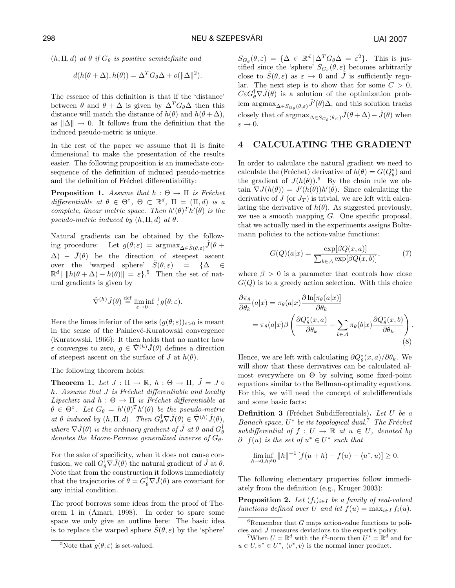$(h, \Pi, d)$  at  $\theta$  if  $G_{\theta}$  is positive semidefinite and

$$
d(h(\theta + \Delta), h(\theta)) = \Delta^T G_\theta \Delta + o(||\Delta||^2).
$$

The essence of this definition is that if the 'distance' between  $\theta$  and  $\theta + \Delta$  is given by  $\Delta^T G_{\theta} \Delta$  then this distance will match the distance of  $h(\theta)$  and  $h(\theta + \Delta)$ , as  $\|\Delta\|\to 0$ . It follows from the definition that the induced pseudo-metric is unique.

In the rest of the paper we assume that  $\Pi$  is finite dimensional to make the presentation of the results easier. The following proposition is an immediate consequence of the definition of induced pseudo-metrics and the definition of Fréchet differentiability:

**Proposition 1.** Assume that  $h : \Theta \rightarrow \Pi$  is Fréchet differentiable at  $\theta \in \Theta^{\circ}$ ,  $\Theta \subset \mathbb{R}^d$ ,  $\Pi = (\Pi, d)$  is a complete, linear metric space. Then  $h'(\theta)^T h'(\theta)$  is the pseudo-metric induced by  $(h, \Pi, d)$  at  $\theta$ .

Natural gradients can be obtained by the following procedure: Let  $g(\theta; \varepsilon) = \arg\max_{\Delta \in \tilde{S}(\theta, \varepsilon)} \tilde{J}(\theta +$  $\Delta$ ) –  $\tilde{J}(\theta)$  be the direction of steepest ascent over the 'warped sphere'  $\tilde{S}(\theta, \varepsilon)$  = { $\Delta \in$  $\mathbb{R}^d \mid ||h(\theta + \Delta) - h(\theta)|| = \varepsilon$ .<sup>5</sup> Then the set of natural gradients is given by

$$
\tilde{\nabla}^{(h)}\tilde{J}(\theta) \stackrel{\text{def}}{=} \liminf_{\varepsilon \to 0+} \tfrac{1}{\varepsilon} g(\theta;\varepsilon).
$$

Here the limes inferior of the sets  $(g(\theta; \varepsilon))_{\varepsilon > 0}$  is meant in the sense of the Painlevé-Kuratowski convergence (Kuratowski, 1966): It then holds that no matter how  $ε$  converges to zero,  $q ∈ \tilde{\nabla}^{(h)} \tilde{J}(\theta)$  defines a direction of steepest ascent on the surface of J at  $h(\theta)$ .

The following theorem holds:

**Theorem 1.** Let  $J : \Pi \to \mathbb{R}$ ,  $h : \Theta \to \Pi$ ,  $\tilde{J} = J \circ$ h. Assume that  $J$  is Fréchet differentiable and locally Lipschitz and  $h : \Theta \to \Pi$  is Fréchet differentiable at  $\theta \in \Theta^{\circ}$ . Let  $G_{\theta} = h'(\theta)^{T}h'(\theta)$  be the pseudo-metric at  $\theta$  induced by  $(h, \Pi, d)$ . Then  $G_{\theta}^{\dagger} \nabla \tilde{J}(\theta) \in \tilde{\nabla}^{(h)} \tilde{J}(\theta)$ , where  $\nabla \tilde{J}(\theta)$  is the ordinary gradient of  $\tilde{J}$  at  $\theta$  and  $G_{\theta}^{\dagger}$ denotes the Moore-Penrose generalized inverse of  $G_{\theta}$ .

For the sake of specificity, when it does not cause confusion, we call  $G_{\theta}^{\dagger} \nabla \tilde{J}(\theta)$  the natural gradient of  $\tilde{J}$  at  $\theta$ . Note that from the construction it follows immediately that the trajectories of  $\dot{\theta} = G_{\theta}^{\dagger} \nabla \tilde{J}(\theta)$  are covariant for any initial condition.

The proof borrows some ideas from the proof of Theorem 1 in (Amari, 1998). In order to spare some space we only give an outline here: The basic idea is to replace the warped sphere  $\tilde{S}(\theta, \varepsilon)$  by the 'sphere'

 $S_{G_{\theta}}(\theta,\varepsilon) = {\{\Delta \in \mathbb{R}^d \,|\, \Delta^T G_{\theta} \Delta = \varepsilon^2\}}$ . This is justified since the 'sphere'  $S_{G_{\theta}}(\theta, \varepsilon)$  becomes arbitrarily close to  $\tilde{S}(\theta,\varepsilon)$  as  $\varepsilon \to 0$  and  $\tilde{J}$  is sufficiently regular. The next step is to show that for some  $C > 0$ ,  $C\varepsilon G_{\theta}^{\dagger}\nabla \tilde{J}(\theta)$  is a solution of the optimization problem  $\arg\max_{\Delta \in S_{G_{\theta}}(\theta,\varepsilon)} \tilde{J}'(\theta) \Delta$ , and this solution tracks closely that of  $\operatorname{argmax}_{\Delta \in S_{G_{\theta}}(\theta, \varepsilon)} \tilde{J}(\theta + \Delta) - \tilde{J}(\theta)$  when  $\varepsilon \to 0$ .

# 4 CALCULATING THE GRADIENT

In order to calculate the natural gradient we need to calculate the (Fréchet) derivative of  $h(\theta) = G(Q_{\theta}^{*})$  and the gradient of  $J(h(\theta))$ .<sup>6</sup> By the chain rule we obtain  $\nabla J(h(\theta)) = J'(h(\theta))h'(\theta)$ . Since calculating the derivative of  $J$  (or  $J_T$ ) is trivial, we are left with calculating the derivative of  $h(\theta)$ . As suggested previously, we use a smooth mapping  $G$ . One specific proposal, that we actually used in the experiments assigns Boltzmann policies to the action-value functions:

$$
G(Q)(a|x) = \frac{\exp[\beta Q(x, a)]}{\sum_{b \in \mathcal{A}} \exp[\beta Q(x, b)]},
$$
(7)

where  $\beta > 0$  is a parameter that controls how close  $G(Q)$  is to a greedy action selection. With this choice

$$
\frac{\partial \pi_{\theta}}{\partial \theta_{k}}(a|x) = \pi_{\theta}(a|x) \frac{\partial \ln[\pi_{\theta}(a|x)]}{\partial \theta_{k}} \n= \pi_{\theta}(a|x) \beta \left( \frac{\partial Q_{\theta}^{*}(x, a)}{\partial \theta_{k}} - \sum_{b \in \mathcal{A}} \pi_{\theta}(b|x) \frac{\partial Q_{\theta}^{*}(x, b)}{\partial \theta_{k}} \right).
$$
\n(8)

Hence, we are left with calculating  $\partial Q_{\theta}^{*}(x, a)/\partial \theta_{k}$ . We will show that these derivatives can be calculated almost everywhere on Θ by solving some fixed-point equations similar to the Bellman-optimality equations. For this, we will need the concept of subdifferentials and some basic facts:

**Definition 3** (Fréchet Subdifferentials). Let U be a Banach space,  $U^*$  be its topological dual.<sup>7</sup> The Fréchet subdifferential of  $f: U \to \mathbb{R}$  at  $u \in U$ , denoted by  $\partial^- f(u)$  is the set of  $u^* \in U^*$  such that

$$
\liminf_{h \to 0, h \neq 0} \|h\|^{-1} \left[ f(u+h) - f(u) - \langle u^*, u \rangle \right] \ge 0.
$$

The following elementary properties follow immediately from the definition (e.g., Kruger 2003):

**Proposition 2.** Let  $(f_i)_{i\in I}$  be a family of real-valued functions defined over U and let  $f(u) = \max_{i \in I} f_i(u)$ .

<sup>&</sup>lt;sup>5</sup>Note that  $g(\theta; \varepsilon)$  is set-valued.

 ${}^{6}$ Remember that G maps action-value functions to policies and J measures deviations to the expert's policy.

<sup>&</sup>lt;sup>7</sup>When  $U = \mathbb{R}^d$  with the  $\ell^2$ -norm then  $U^* = \mathbb{R}^d$  and for  $u \in U, v^* \in U^*, \langle v^*, v \rangle$  is the normal inner product.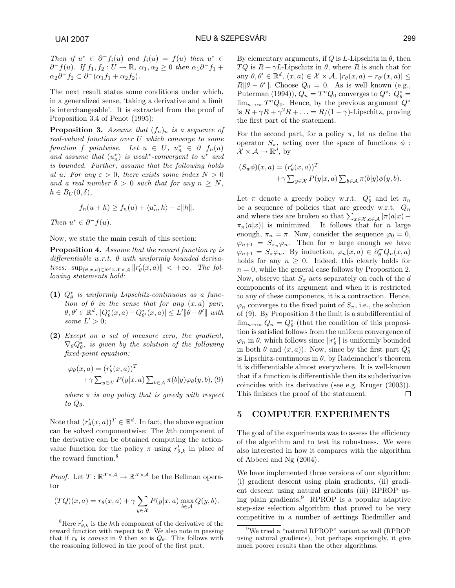Then if  $u^* \in \partial^- f_i(u)$  and  $f_i(u) = f(u)$  then  $u^* \in$  $\partial^- f(u)$ . If  $f_1, f_2 : U \to \mathbb{R}$ ,  $\alpha_1, \alpha_2 \geq 0$  then  $\alpha_1 \partial^- f_1 +$  $\alpha_2 \partial^- f_2 \subset \partial^- (\alpha_1 f_1 + \alpha_2 f_2).$ 

The next result states some conditions under which, in a generalized sense, 'taking a derivative and a limit is interchangeable'. It is extracted from the proof of Proposition 3.4 of Penot (1995):

**Proposition 3.** Assume that  $(f_n)_n$  is a sequence of real-valued functions over U which converge to some function f pointwise. Let  $u \in U$ ,  $u_n^* \in \partial^- f_n(u)$ and assume that  $(u_n^*)$  is weak<sup>\*</sup>-convergent to  $u^*$  and is bounded. Further, assume that the following holds at u: For any  $\varepsilon > 0$ , there exists some index  $N > 0$ and a real number  $\delta > 0$  such that for any  $n \geq N$ ,  $h \in B_U(0,\delta),$ 

$$
f_n(u+h) \ge f_n(u) + \langle u_n^*, h \rangle - \varepsilon ||h||.
$$

Then  $u^* \in \partial^- f(u)$ .

Now, we state the main result of this section:

**Proposition 4.** Assume that the reward function  $r_{\theta}$  is differentiable w.r.t.  $\theta$  with uniformly bounded derivatives:  $\sup_{(\theta,x,a)\in\mathbb{R}^d\times\mathcal{X}\times\mathcal{A}}||r'_{\theta}(x,a)|| < +\infty$ . The following statements hold:

- (1)  $Q_{\theta}^*$  is uniformly Lipschitz-continuous as a function of  $\theta$  in the sense that for any  $(x, a)$  pair,  $\theta, \theta' \in \mathbb{R}^d$ ,  $|Q^*_{\theta}(x, a) - Q^*_{\theta'}(x, a)| \leq L' \|\theta - \theta'\|$  with some  $L' > 0$ ;
- (2) Except on a set of measure zero, the gradient,  $\nabla_{\theta} Q_{\theta}^*$ , is given by the solution of the following fixed-point equation:

$$
\varphi_{\theta}(x, a) = (r'_{\theta}(x, a))^{T}
$$

$$
+ \gamma \sum_{y \in \mathcal{X}} P(y|x, a) \sum_{b \in \mathcal{A}} \pi(b|y) \varphi_{\theta}(y, b), (9)
$$

where  $\pi$  is any policy that is greedy with respect to  $Q_{\theta}$ .

Note that  $(r'_{\theta}(x, a))^T \in \mathbb{R}^d$ . In fact, the above equation can be solved componentwise: The kth component of the derivative can be obtained computing the actionvalue function for the policy  $\pi$  using  $r'_{\theta,k}$  in place of the reward function.<sup>8</sup>

*Proof.* Let  $T: \mathbb{R}^{\mathcal{X} \times \mathcal{A}} \to \mathbb{R}^{\mathcal{X} \times \mathcal{A}}$  be the Bellman operator

$$
(TQ)(x, a) = r_{\theta}(x, a) + \gamma \sum_{y \in \mathcal{X}} P(y|x, a) \max_{b \in \mathcal{A}} Q(y, b).
$$

By elementary arguments, if Q is L-Lipschitz in  $\theta$ , then TQ is  $R + \gamma L$ -Lipschitz in  $\theta$ , where R is such that for any  $\theta, \theta' \in \mathbb{R}^d$ ,  $(x, a) \in \mathcal{X} \times \mathcal{A}$ ,  $|r_{\theta}(x, a) - r_{\theta'}(x, a)| \leq$  $R\|\theta - \theta'\|$ . Choose  $Q_0 = 0$ . As is well known (e.g., Puterman (1994)),  $Q_n = T^n Q_0$  converges to  $Q^*$ :  $Q^*_{\theta} =$  $\lim_{n\to\infty} T^n Q_0$ . Hence, by the previous argument  $Q^*$ is  $R + \gamma R + \gamma^2 R + \ldots = R/(1 - \gamma)$ -Lipschitz, proving the first part of the statement.

For the second part, for a policy  $\pi$ , let us define the operator  $S_{\pi}$ , acting over the space of functions  $\phi$ :  $\mathcal{X} \times \mathcal{A} \to \mathbb{R}^d$ , by

$$
(S_{\pi}\phi)(x, a) = (r'_{\theta}(x, a))^T
$$
  
+ $\gamma \sum_{y \in \mathcal{X}} P(y|x, a) \sum_{b \in \mathcal{A}} \pi(b|y)\phi(y, b).$ 

Let  $\pi$  denote a greedy policy w.r.t.  $Q_{\theta}^*$  and let  $\pi_n$ be a sequence of policies that are greedy w.r.t.  $Q_n$ be a sequence of policies that are greedy w.r.t.  $Q_n$ <br>and where ties are broken so that  $\sum_{x \in \mathcal{X}, a \in \mathcal{A}} |\pi(a|x) \pi_n(a|x)|$  is minimized. It follows that for n large enough,  $\pi_n = \pi$ . Now, consider the sequence  $\varphi_0 = 0$ ,  $\varphi_{n+1} = S_{\pi_n} \varphi_n$ . Then for *n* large enough we have  $\varphi_{n+1} = S_n \varphi_n$ . By induction,  $\varphi_n(x, a) \in \partial_{\theta}^{-} Q_n(x, a)$ holds for any  $n \geq 0$ . Indeed, this clearly holds for  $n = 0$ , while the general case follows by Proposition 2. Now, observe that  $S_{\pi}$  acts separately on each of the d components of its argument and when it is restricted to any of these components, it is a contraction. Hence,  $\varphi_n$  converges to the fixed point of  $S_\pi$ , i.e., the solution of (9). By Proposition 3 the limit is a subdifferential of  $\lim_{n\to\infty} Q_n = Q_\theta^*$  (that the condition of this proposition is satisfied follows from the uniform convergence of  $\varphi_n$  in  $\theta$ , which follows since  $||r'_{\theta}||$  is uniformly bounded in both  $\theta$  and  $(x, a)$ ). Now, since by the first part  $Q_{\theta}^*$ is Lipschitz-continuous in  $\theta$ , by Rademacher's theorem it is differentiable almost everywhere. It is well-known that if a function is differentiable then its subderivative coincides with its derivative (see e.g. Kruger (2003)). This finishes the proof of the statement.  $\Box$ 

# 5 COMPUTER EXPERIMENTS

The goal of the experiments was to assess the efficiency of the algorithm and to test its robustness. We were also interested in how it compares with the algorithm of Abbeel and Ng (2004).

We have implemented three versions of our algorithm: (i) gradient descent using plain gradients, (ii) gradient descent using natural gradients (iii) RPROP using plain gradients.<sup>9</sup> RPROP is a popular adaptive step-size selection algorithm that proved to be very competitive in a number of settings Riedmiller and

<sup>&</sup>lt;sup>8</sup>Here  $r'_{\theta,k}$  is the k<sup>th</sup> component of the derivative of the reward function with respect to θ. We also note in passing that if  $r_{\theta}$  is convex in  $\theta$  then so is  $Q_{\theta}$ . This follows with the reasoning followed in the proof of the first part.

<sup>9</sup>We tried a "natural RPROP" variant as well (RPROP using natural gradients), but perhaps suprisingly, it give much poorer results than the other algorithms.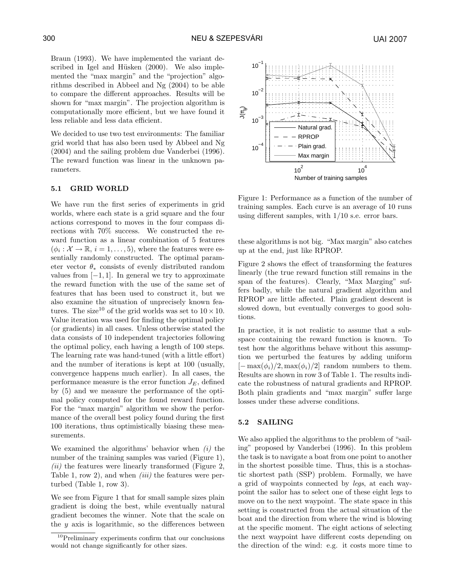Braun (1993). We have implemented the variant described in Igel and Hüsken  $(2000)$ . We also implemented the "max margin" and the "projection" algorithms described in Abbeel and Ng (2004) to be able to compare the different approaches. Results will be shown for "max margin". The projection algorithm is computationally more efficient, but we have found it less reliable and less data efficient.

We decided to use two test environments: The familiar grid world that has also been used by Abbeel and Ng (2004) and the sailing problem due Vanderbei (1996). The reward function was linear in the unknown parameters.

## 5.1 GRID WORLD

We have run the first series of experiments in grid worlds, where each state is a grid square and the four actions correspond to moves in the four compass directions with 70% success. We constructed the reward function as a linear combination of 5 features  $(\phi_i : \mathcal{X} \to \mathbb{R}, i = 1, \dots, 5)$ , where the features were essentially randomly constructed. The optimal parameter vector  $\theta_*$  consists of evenly distributed random values from  $[-1, 1]$ . In general we try to approximate the reward function with the use of the same set of features that has been used to construct it, but we also examine the situation of unprecisely known features. The size<sup>10</sup> of the grid worlds was set to  $10 \times 10$ . Value iteration was used for finding the optimal policy (or gradients) in all cases. Unless otherwise stated the data consists of 10 independent trajectories following the optimal policy, each having a length of 100 steps. The learning rate was hand-tuned (with a little effort) and the number of iterations is kept at 100 (usually, convergence happens much earlier). In all cases, the performance measure is the error function  $J_E$ , defined by (5) and we measure the performance of the optimal policy computed for the found reward function. For the "max margin" algorithm we show the performance of the overall best policy found during the first 100 iterations, thus optimistically biasing these measurements.

We examined the algorithms' behavior when  $(i)$  the number of the training samples was varied (Figure 1),  $(ii)$  the features were linearly transformed (Figure 2, Table 1, row 2), and when  $(iii)$  the features were perturbed (Table 1, row 3).

We see from Figure 1 that for small sample sizes plain gradient is doing the best, while eventually natural gradient becomes the winner. Note that the scale on the  $y$  axis is logarithmic, so the differences between



Figure 1: Performance as a function of the number of training samples. Each curve is an average of 10 runs using different samples, with 1/10 s.e. error bars.

these algorithms is not big. "Max margin" also catches up at the end, just like RPROP.

Figure 2 shows the effect of transforming the features linearly (the true reward function still remains in the span of the features). Clearly, "Max Marging" suffers badly, while the natural gradient algorithm and RPROP are little affected. Plain gradient descent is slowed down, but eventually converges to good solutions.

In practice, it is not realistic to assume that a subspace containing the reward function is known. To test how the algorithms behave without this assumption we perturbed the features by adding uniform  $[-\max(\phi_i)/2, \max(\phi_i)/2]$  random numbers to them. Results are shown in row 3 of Table 1. The results indicate the robustness of natural gradients and RPROP. Both plain gradients and "max margin" suffer large losses under these adverse conditions.

#### 5.2 SAILING

We also applied the algorithms to the problem of "sailing" proposed by Vanderbei (1996). In this problem the task is to navigate a boat from one point to another in the shortest possible time. Thus, this is a stochastic shortest path (SSP) problem. Formally, we have a grid of waypoints connected by legs, at each waypoint the sailor has to select one of these eight legs to move on to the next waypoint. The state space in this setting is constructed from the actual situation of the boat and the direction from where the wind is blowing at the specific moment. The eight actions of selecting the next waypoint have different costs depending on the direction of the wind: e.g. it costs more time to

<sup>10</sup>Preliminary experiments confirm that our conclusions would not change significantly for other sizes.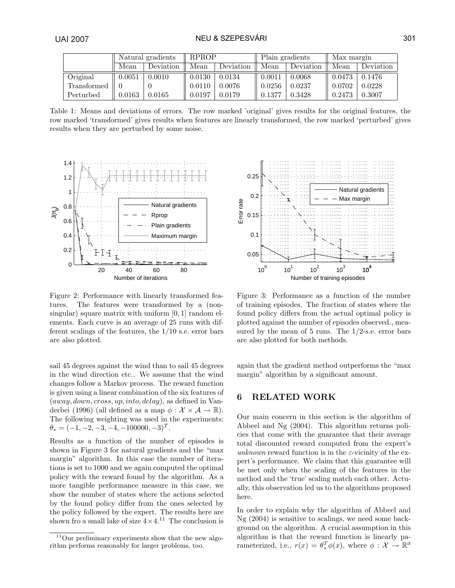|             | Natural gradients |           | <b>RPROP</b> |           | Plain gradients |           | Max margin |           |
|-------------|-------------------|-----------|--------------|-----------|-----------------|-----------|------------|-----------|
|             | Mean              | Deviation | Mean         | Deviation | Mean            | Deviation | Mean       | Deviation |
| Original    | 0.0051            | 0.0010    | 0.0130       | 0.0134    | 0.0011          | 0.0068    | 0.0473     | 0.1476    |
| Transformed |                   |           | 0.0110       | 0.0076    | 0.0256          | 0.0237    | 0.0702     | 0.0228    |
| Perturbed   | 0.0163            | 0.0165    | 0.0197       | 0.0179    | 0.1377          | 0.3428    | 0.2473     | 0.3007    |

Table 1: Means and deviations of errors. The row marked 'original' gives results for the original features, the row marked 'transformed' gives results when features are linearly transformed, the row marked 'perturbed' gives results when they are perturbed by some noise.



Figure 2: Performance with linearly transformed features. The features were transformed by a (nonsingular) square matrix with uniform  $[0, 1]$  random elements. Each curve is an average of 25 runs with different scalings of the features, the 1/10 s.e. error bars are also plotted.

sail 45 degrees against the wind than to sail 45 degrees in the wind direction etc.. We assume that the wind changes follow a Markov process. The reward function is given using a linear combination of the six features of  $(away, down, cross, up, into, delay),$  as defined in Vanderbei (1996) (all defined as a map  $\phi : \mathcal{X} \times \mathcal{A} \to \mathbb{R}$ ). The following weighting was used in the experiments:  $\theta_* = (-1, -2, -3, -4, -100000, -3)^T.$ 

Results as a function of the number of episodes is shown in Figure 3 for natural gradients and the "max margin" algorithm. In this case the number of iterations is set to 1000 and we again computed the optimal policy with the reward found by the algorithm. As a more tangible performance measure in this case, we show the number of states where the actions selected by the found policy differ from the ones selected by the policy followed by the expert. The results here are shown fro a small lake of size  $4 \times 4$ .<sup>11</sup> The conclusion is



Figure 3: Performance as a function of the number of training episodes. The fraction of states where the found policy differs from the actual optimal policy is plotted against the number of episodes observed., measured by the mean of  $5$  runs. The  $1/2$ -s.e. error bars are also plotted for both methods.

again that the gradient method outperforms the "max margin" algorithm by a significant amount.

# 6 RELATED WORK

Our main concern in this section is the algorithm of Abbeel and Ng (2004). This algorithm returns policies that come with the guarantee that their average total discounted reward computed from the expert's unknown reward function is in the  $\varepsilon$ -vicinity of the expert's performance. We claim that this guarantee will be met only when the scaling of the features in the method and the 'true' scaling match each other. Actually, this observation led us to the algorithms proposed here.

In order to explain why the algorithm of Abbeel and Ng (2004) is sensitive to scalings, we need some background on the algorithm. A crucial assumption in this algorithm is that the reward function is linearly parameterized, i.e.,  $r(x) = \theta_*^T \phi(x)$ , where  $\phi : \mathcal{X} \to \mathbb{R}^d$ 

 $11$ Our preliminary experiments show that the new algorithm performs reasonably for larger problems, too.